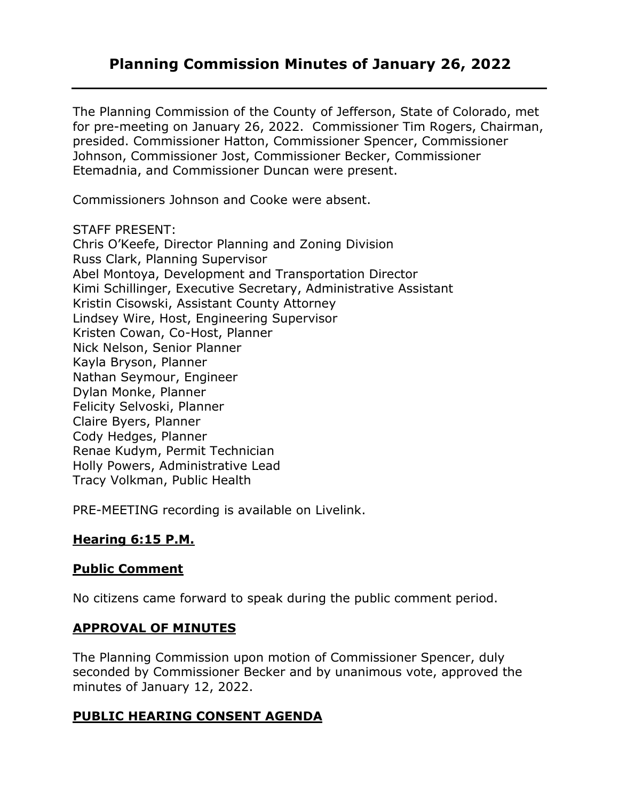# **Planning Commission Minutes of January 26, 2022**

The Planning Commission of the County of Jefferson, State of Colorado, met for pre-meeting on January 26, 2022. Commissioner Tim Rogers, Chairman, presided. Commissioner Hatton, Commissioner Spencer, Commissioner Johnson, Commissioner Jost, Commissioner Becker, Commissioner Etemadnia, and Commissioner Duncan were present.

Commissioners Johnson and Cooke were absent.

#### STAFF PRESENT:

Chris O'Keefe, Director Planning and Zoning Division Russ Clark, Planning Supervisor Abel Montoya, Development and Transportation Director Kimi Schillinger, Executive Secretary, Administrative Assistant Kristin Cisowski, Assistant County Attorney Lindsey Wire, Host, Engineering Supervisor Kristen Cowan, Co-Host, Planner Nick Nelson, Senior Planner Kayla Bryson, Planner Nathan Seymour, Engineer Dylan Monke, Planner Felicity Selvoski, Planner Claire Byers, Planner Cody Hedges, Planner Renae Kudym, Permit Technician Holly Powers, Administrative Lead Tracy Volkman, Public Health

PRE-MEETING recording is available on Livelink.

## **Hearing 6:15 P.M.**

## **Public Comment**

No citizens came forward to speak during the public comment period.

#### **APPROVAL OF MINUTES**

The Planning Commission upon motion of Commissioner Spencer, duly seconded by Commissioner Becker and by unanimous vote, approved the minutes of January 12, 2022.

## **PUBLIC HEARING CONSENT AGENDA**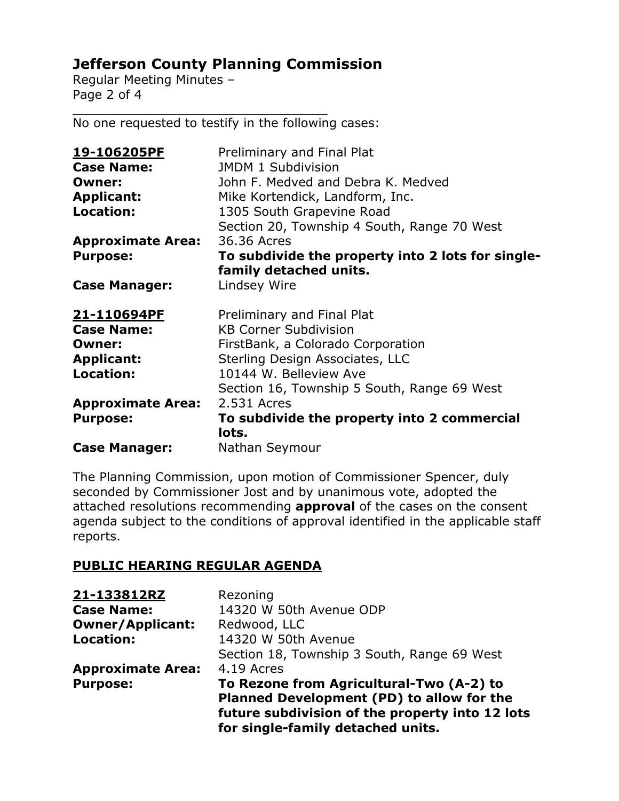# **Jefferson County Planning Commission**

Regular Meeting Minutes – Page 2 of 4

No one requested to testify in the following cases:

 $\mathcal{L}_\mathcal{L}$  , which is a set of the set of the set of the set of the set of the set of the set of the set of the set of the set of the set of the set of the set of the set of the set of the set of the set of the set of

| <u>19-106205PF</u>       | Preliminary and Final Plat                           |
|--------------------------|------------------------------------------------------|
| <b>Case Name:</b>        | <b>JMDM 1 Subdivision</b>                            |
| <b>Owner:</b>            | John F. Medved and Debra K. Medved                   |
| <b>Applicant:</b>        | Mike Kortendick, Landform, Inc.                      |
| <b>Location:</b>         | 1305 South Grapevine Road                            |
|                          | Section 20, Township 4 South, Range 70 West          |
| <b>Approximate Area:</b> | 36,36 Acres                                          |
| <b>Purpose:</b>          | To subdivide the property into 2 lots for single-    |
|                          | family detached units.                               |
| <b>Case Manager:</b>     | Lindsey Wire                                         |
| 21-110694PF              | Preliminary and Final Plat                           |
| <b>Case Name:</b>        | <b>KB Corner Subdivision</b>                         |
| Owner:                   | FirstBank, a Colorado Corporation                    |
| <b>Applicant:</b>        | Sterling Design Associates, LLC                      |
| Location:                | 10144 W. Belleview Ave                               |
|                          | Section 16, Township 5 South, Range 69 West          |
| <b>Approximate Area:</b> | 2.531 Acres                                          |
| <b>Purpose:</b>          | To subdivide the property into 2 commercial<br>lots. |
|                          |                                                      |

The Planning Commission, upon motion of Commissioner Spencer, duly seconded by Commissioner Jost and by unanimous vote, adopted the attached resolutions recommending **approval** of the cases on the consent agenda subject to the conditions of approval identified in the applicable staff reports.

## **PUBLIC HEARING REGULAR AGENDA**

| 21-133812RZ              | Rezoning                                                                                                                                                                      |
|--------------------------|-------------------------------------------------------------------------------------------------------------------------------------------------------------------------------|
| <b>Case Name:</b>        | 14320 W 50th Avenue ODP                                                                                                                                                       |
| <b>Owner/Applicant:</b>  | Redwood, LLC                                                                                                                                                                  |
| <b>Location:</b>         | 14320 W 50th Avenue                                                                                                                                                           |
|                          | Section 18, Township 3 South, Range 69 West                                                                                                                                   |
| <b>Approximate Area:</b> | 4.19 Acres                                                                                                                                                                    |
| <b>Purpose:</b>          | To Rezone from Agricultural-Two (A-2) to<br>Planned Development (PD) to allow for the<br>future subdivision of the property into 12 lots<br>for single-family detached units. |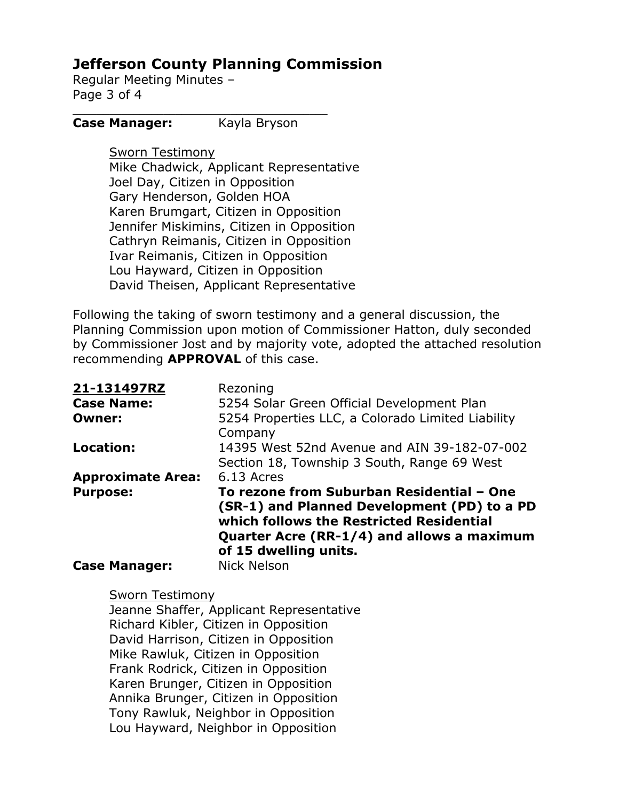# **Jefferson County Planning Commission**

Regular Meeting Minutes – Page 3 of 4

#### **Case Manager:** Kayla Bryson

 $\mathcal{L}_\mathcal{L}$  , which is a set of the set of the set of the set of the set of the set of the set of the set of the set of the set of the set of the set of the set of the set of the set of the set of the set of the set of

Sworn Testimony Mike Chadwick, Applicant Representative Joel Day, Citizen in Opposition Gary Henderson, Golden HOA Karen Brumgart, Citizen in Opposition Jennifer Miskimins, Citizen in Opposition Cathryn Reimanis, Citizen in Opposition Ivar Reimanis, Citizen in Opposition Lou Hayward, Citizen in Opposition David Theisen, Applicant Representative

Following the taking of sworn testimony and a general discussion, the Planning Commission upon motion of Commissioner Hatton, duly seconded by Commissioner Jost and by majority vote, adopted the attached resolution recommending **APPROVAL** of this case.

| 21-131497RZ              | Rezoning                                                                                                                                                                                                    |
|--------------------------|-------------------------------------------------------------------------------------------------------------------------------------------------------------------------------------------------------------|
| <b>Case Name:</b>        | 5254 Solar Green Official Development Plan                                                                                                                                                                  |
| <b>Owner:</b>            | 5254 Properties LLC, a Colorado Limited Liability<br>Company                                                                                                                                                |
| Location:                | 14395 West 52nd Avenue and AIN 39-182-07-002<br>Section 18, Township 3 South, Range 69 West                                                                                                                 |
| <b>Approximate Area:</b> | 6.13 Acres                                                                                                                                                                                                  |
| <b>Purpose:</b>          | To rezone from Suburban Residential - One<br>(SR-1) and Planned Development (PD) to a PD<br>which follows the Restricted Residential<br>Quarter Acre (RR-1/4) and allows a maximum<br>of 15 dwelling units. |
| <b>Case Manager:</b>     | <b>Nick Nelson</b>                                                                                                                                                                                          |

#### Sworn Testimony

Jeanne Shaffer, Applicant Representative Richard Kibler, Citizen in Opposition David Harrison, Citizen in Opposition Mike Rawluk, Citizen in Opposition Frank Rodrick, Citizen in Opposition Karen Brunger, Citizen in Opposition Annika Brunger, Citizen in Opposition Tony Rawluk, Neighbor in Opposition Lou Hayward, Neighbor in Opposition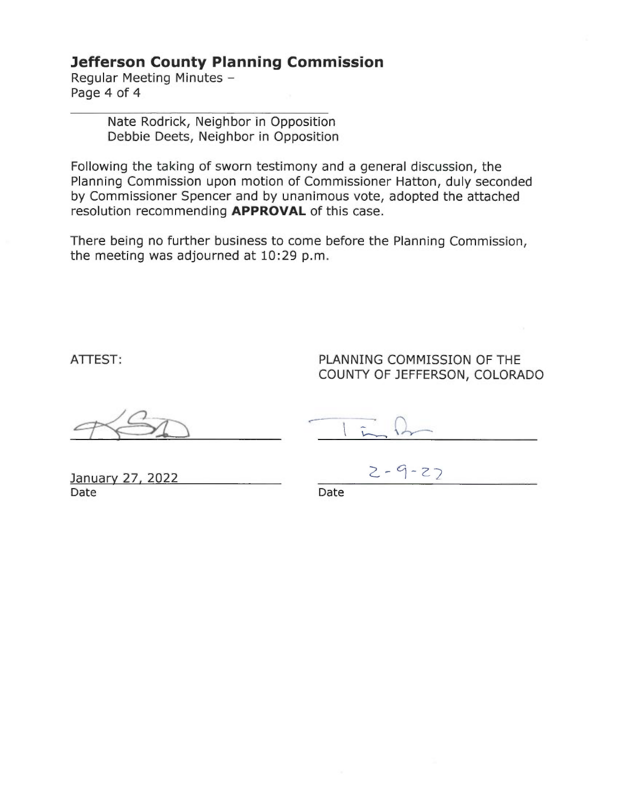# **Jefferson County Planning Commission**

Regular Meeting Minutes -Page 4 of 4

> Nate Rodrick, Neighbor in Opposition Debbie Deets, Neighbor in Opposition

Following the taking of sworn testimony and a general discussion, the Planning Commission upon motion of Commissioner Hatton, duly seconded by Commissioner Spencer and by unanimous vote, adopted the attached resolution recommending APPROVAL of this case.

There being no further business to come before the Planning Commission, the meeting was adjourned at 10:29 p.m.

ATTEST:

PLANNING COMMISSION OF THE COUNTY OF JEFFERSON, COLORADO

January 27, 2022 Date

 $2 - 9 - 27$ 

Date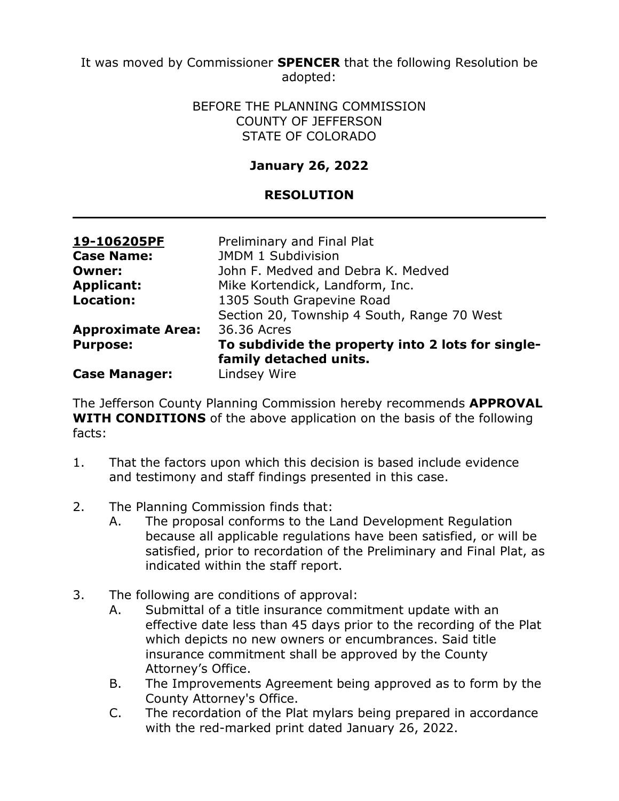It was moved by Commissioner **SPENCER** that the following Resolution be adopted:

#### BEFORE THE PLANNING COMMISSION COUNTY OF JEFFERSON STATE OF COLORADO

# **January 26, 2022**

## **RESOLUTION**

| 19-106205PF              | Preliminary and Final Plat                        |
|--------------------------|---------------------------------------------------|
| <b>Case Name:</b>        | JMDM 1 Subdivision                                |
| <b>Owner:</b>            | John F. Medved and Debra K. Medved                |
| <b>Applicant:</b>        | Mike Kortendick, Landform, Inc.                   |
| <b>Location:</b>         | 1305 South Grapevine Road                         |
|                          | Section 20, Township 4 South, Range 70 West       |
| <b>Approximate Area:</b> | 36,36 Acres                                       |
| <b>Purpose:</b>          | To subdivide the property into 2 lots for single- |
|                          | family detached units.                            |
| <b>Case Manager:</b>     | Lindsey Wire                                      |

The Jefferson County Planning Commission hereby recommends **APPROVAL WITH CONDITIONS** of the above application on the basis of the following facts:

- 1. That the factors upon which this decision is based include evidence and testimony and staff findings presented in this case.
- 2. The Planning Commission finds that:
	- A. The proposal conforms to the Land Development Regulation because all applicable regulations have been satisfied, or will be satisfied, prior to recordation of the Preliminary and Final Plat, as indicated within the staff report.
- 3. The following are conditions of approval:
	- A. Submittal of a title insurance commitment update with an effective date less than 45 days prior to the recording of the Plat which depicts no new owners or encumbrances. Said title insurance commitment shall be approved by the County Attorney's Office.
	- B. The Improvements Agreement being approved as to form by the County Attorney's Office.
	- C. The recordation of the Plat mylars being prepared in accordance with the red-marked print dated January 26, 2022.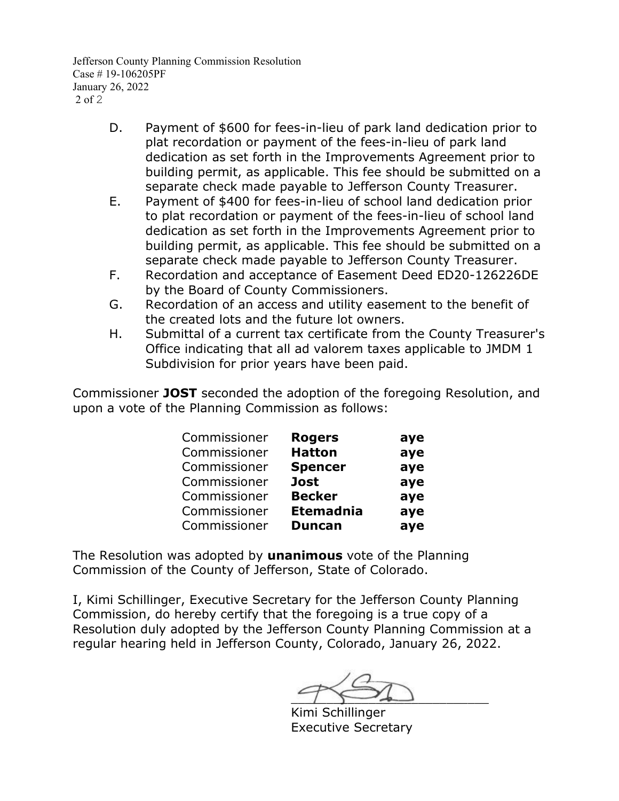Jefferson County Planning Commission Resolution Case # 19-106205PF January 26, 2022 2 of 2

- D. Payment of \$600 for fees-in-lieu of park land dedication prior to plat recordation or payment of the fees-in-lieu of park land dedication as set forth in the Improvements Agreement prior to building permit, as applicable. This fee should be submitted on a separate check made payable to Jefferson County Treasurer.
- E. Payment of \$400 for fees-in-lieu of school land dedication prior to plat recordation or payment of the fees-in-lieu of school land dedication as set forth in the Improvements Agreement prior to building permit, as applicable. This fee should be submitted on a separate check made payable to Jefferson County Treasurer.
- F. Recordation and acceptance of Easement Deed ED20-126226DE by the Board of County Commissioners.
- G. Recordation of an access and utility easement to the benefit of the created lots and the future lot owners.
- H. Submittal of a current tax certificate from the County Treasurer's Office indicating that all ad valorem taxes applicable to JMDM 1 Subdivision for prior years have been paid.

Commissioner **JOST** seconded the adoption of the foregoing Resolution, and upon a vote of the Planning Commission as follows:

| Commissioner | <b>Rogers</b>    | aye |
|--------------|------------------|-----|
| Commissioner | <b>Hatton</b>    | aye |
| Commissioner | <b>Spencer</b>   | aye |
| Commissioner | <b>Jost</b>      | aye |
| Commissioner | <b>Becker</b>    | aye |
| Commissioner | <b>Etemadnia</b> | aye |
| Commissioner | <b>Duncan</b>    | aye |

The Resolution was adopted by **unanimous** vote of the Planning Commission of the County of Jefferson, State of Colorado.

 $\sim$ 

Kimi Schillinger Executive Secretary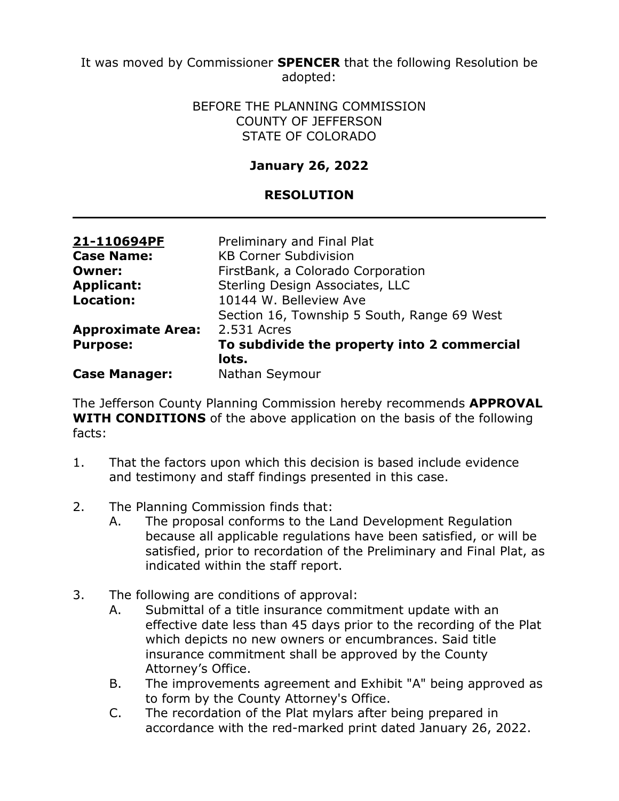It was moved by Commissioner **SPENCER** that the following Resolution be adopted:

#### BEFORE THE PLANNING COMMISSION COUNTY OF JEFFERSON STATE OF COLORADO

# **January 26, 2022**

### **RESOLUTION**

| 21-110694PF              | Preliminary and Final Plat                  |
|--------------------------|---------------------------------------------|
| <b>Case Name:</b>        | <b>KB Corner Subdivision</b>                |
| <b>Owner:</b>            | FirstBank, a Colorado Corporation           |
| <b>Applicant:</b>        | Sterling Design Associates, LLC             |
| Location:                | 10144 W. Belleview Ave                      |
|                          | Section 16, Township 5 South, Range 69 West |
| <b>Approximate Area:</b> | 2.531 Acres                                 |
| <b>Purpose:</b>          | To subdivide the property into 2 commercial |
|                          | lots.                                       |
| <b>Case Manager:</b>     | Nathan Seymour                              |

The Jefferson County Planning Commission hereby recommends **APPROVAL WITH CONDITIONS** of the above application on the basis of the following facts:

- 1. That the factors upon which this decision is based include evidence and testimony and staff findings presented in this case.
- 2. The Planning Commission finds that:
	- A. The proposal conforms to the Land Development Regulation because all applicable regulations have been satisfied, or will be satisfied, prior to recordation of the Preliminary and Final Plat, as indicated within the staff report.
- 3. The following are conditions of approval:
	- A. Submittal of a title insurance commitment update with an effective date less than 45 days prior to the recording of the Plat which depicts no new owners or encumbrances. Said title insurance commitment shall be approved by the County Attorney's Office.
	- B. The improvements agreement and Exhibit "A" being approved as to form by the County Attorney's Office.
	- C. The recordation of the Plat mylars after being prepared in accordance with the red-marked print dated January 26, 2022.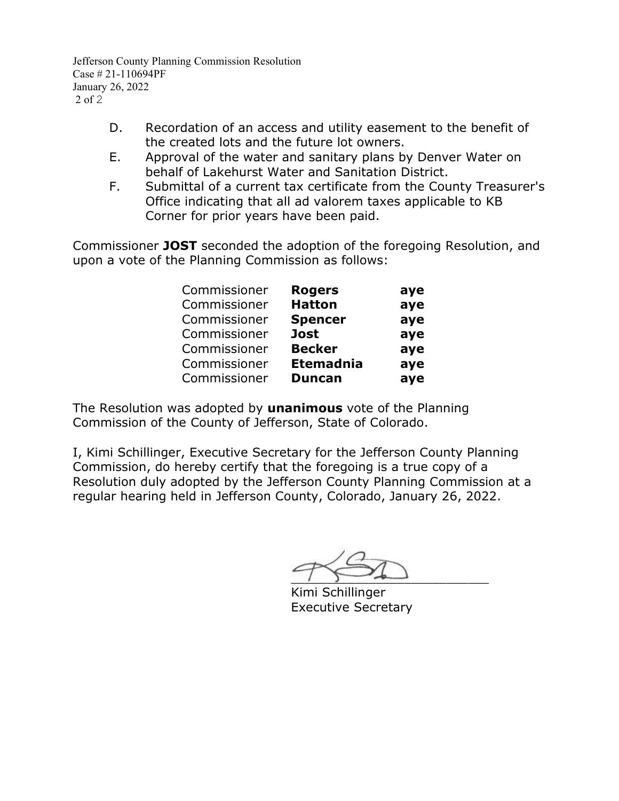Jefferson County Planning Commission Resolution Case # 21-110694PF January 26, 2022 2 of 2

- D. Recordation of an access and utility easement to the benefit of the created lots and the future lot owners.
- E. Approval of the water and sanitary plans by Denver Water on behalf of Lakehurst Water and Sanitation District.
- F. Submittal of a current tax certificate from the County Treasurer's Office indicating that all ad valorem taxes applicable to KB Corner for prior years have been paid.

Commissioner **JOST** seconded the adoption of the foregoing Resolution, and upon a vote of the Planning Commission as follows:

| Commissioner | <b>Rogers</b>    | aye |
|--------------|------------------|-----|
| Commissioner | <b>Hatton</b>    | aye |
| Commissioner | <b>Spencer</b>   | aye |
| Commissioner | <b>Jost</b>      | aye |
| Commissioner | <b>Becker</b>    | aye |
| Commissioner | <b>Etemadnia</b> | aye |
| Commissioner | <b>Duncan</b>    | aye |
|              |                  |     |

The Resolution was adopted by **unanimous** vote of the Planning Commission of the County of Jefferson, State of Colorado.

 $\overline{\phantom{a}}$ 

Kimi Schillinger Executive Secretary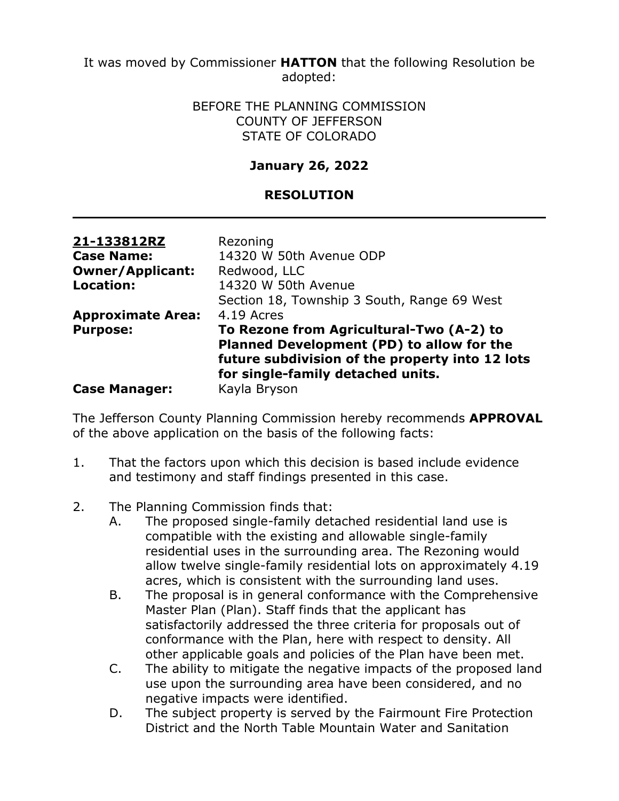It was moved by Commissioner **HATTON** that the following Resolution be adopted:

> BEFORE THE PLANNING COMMISSION COUNTY OF JEFFERSON STATE OF COLORADO

## **January 26, 2022**

## **RESOLUTION**

| 21-133812RZ              | Rezoning                                        |
|--------------------------|-------------------------------------------------|
|                          |                                                 |
| <b>Case Name:</b>        | 14320 W 50th Avenue ODP                         |
| <b>Owner/Applicant:</b>  | Redwood, LLC                                    |
| <b>Location:</b>         | 14320 W 50th Avenue                             |
|                          | Section 18, Township 3 South, Range 69 West     |
| <b>Approximate Area:</b> | 4.19 Acres                                      |
| <b>Purpose:</b>          | To Rezone from Agricultural-Two (A-2) to        |
|                          | Planned Development (PD) to allow for the       |
|                          | future subdivision of the property into 12 lots |
|                          | for single-family detached units.               |
| <b>Case Manager:</b>     | Kayla Bryson                                    |

The Jefferson County Planning Commission hereby recommends **APPROVAL** of the above application on the basis of the following facts:

- 1. That the factors upon which this decision is based include evidence and testimony and staff findings presented in this case.
- 2. The Planning Commission finds that:
	- A. The proposed single-family detached residential land use is compatible with the existing and allowable single-family residential uses in the surrounding area. The Rezoning would allow twelve single-family residential lots on approximately 4.19 acres, which is consistent with the surrounding land uses.
	- B. The proposal is in general conformance with the Comprehensive Master Plan (Plan). Staff finds that the applicant has satisfactorily addressed the three criteria for proposals out of conformance with the Plan, here with respect to density. All other applicable goals and policies of the Plan have been met.
	- C. The ability to mitigate the negative impacts of the proposed land use upon the surrounding area have been considered, and no negative impacts were identified.
	- D. The subject property is served by the Fairmount Fire Protection District and the North Table Mountain Water and Sanitation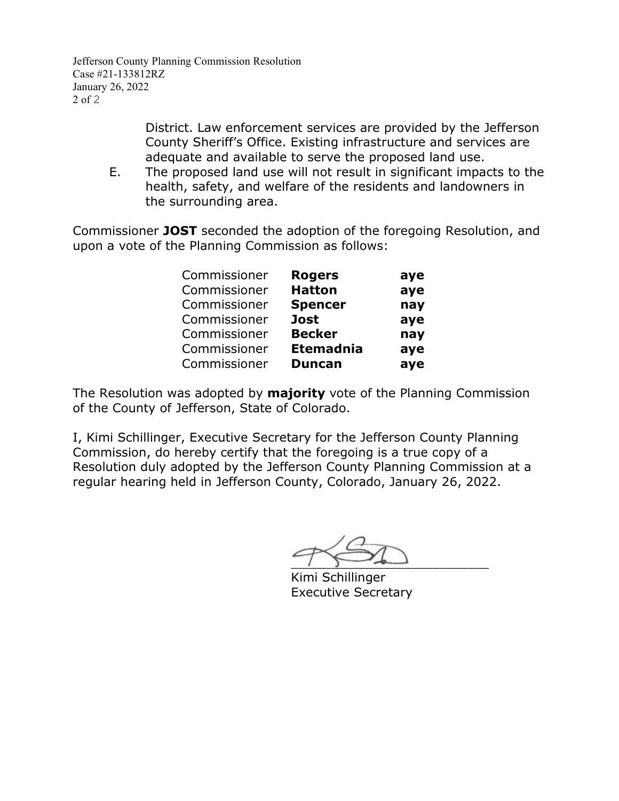Jefferson County Planning Commission Resolution Case #21-133812RZ January 26, 2022 2 of 2

> District. Law enforcement services are provided by the Jefferson County Sheriff's Office. Existing infrastructure and services are adequate and available to serve the proposed land use.

E. The proposed land use will not result in significant impacts to the health, safety, and welfare of the residents and landowners in the surrounding area.

Commissioner **JOST** seconded the adoption of the foregoing Resolution, and upon a vote of the Planning Commission as follows:

| Commissioner | <b>Rogers</b>    | aye |
|--------------|------------------|-----|
| Commissioner | <b>Hatton</b>    | aye |
| Commissioner | <b>Spencer</b>   | nay |
| Commissioner | <b>Jost</b>      | aye |
| Commissioner | <b>Becker</b>    | nay |
| Commissioner | <b>Etemadnia</b> | aye |
| Commissioner | <b>Duncan</b>    | aye |

The Resolution was adopted by **majority** vote of the Planning Commission of the County of Jefferson, State of Colorado.

 $\overline{\phantom{a}}$ 

Kimi Schillinger Executive Secretary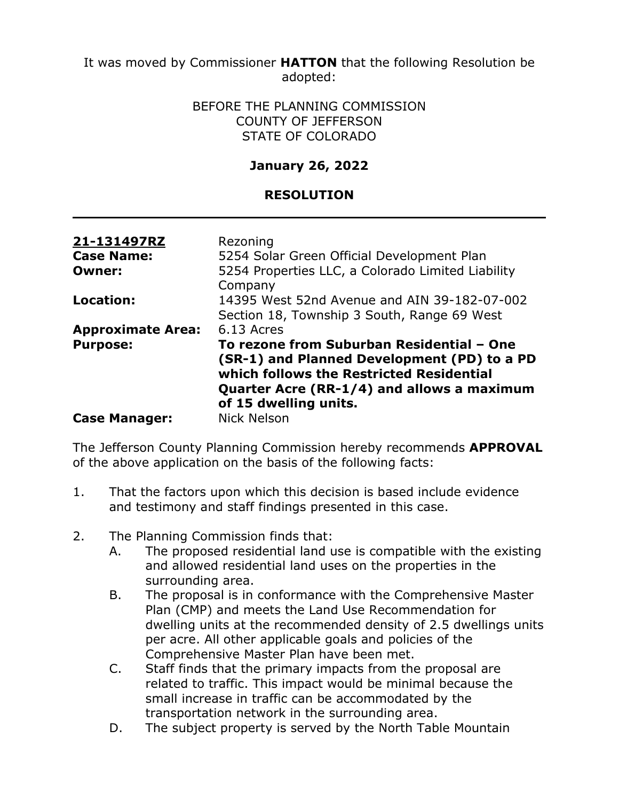It was moved by Commissioner **HATTON** that the following Resolution be adopted:

#### BEFORE THE PLANNING COMMISSION COUNTY OF JEFFERSON STATE OF COLORADO

# **January 26, 2022**

## **RESOLUTION**

| 21-131497RZ<br><b>Case Name:</b> | Rezoning<br>5254 Solar Green Official Development Plan                                                                                                                                                      |
|----------------------------------|-------------------------------------------------------------------------------------------------------------------------------------------------------------------------------------------------------------|
| Owner:                           | 5254 Properties LLC, a Colorado Limited Liability<br>Company                                                                                                                                                |
| Location:                        | 14395 West 52nd Avenue and AIN 39-182-07-002<br>Section 18, Township 3 South, Range 69 West                                                                                                                 |
| <b>Approximate Area:</b>         | 6.13 Acres                                                                                                                                                                                                  |
| <b>Purpose:</b>                  | To rezone from Suburban Residential - One<br>(SR-1) and Planned Development (PD) to a PD<br>which follows the Restricted Residential<br>Quarter Acre (RR-1/4) and allows a maximum<br>of 15 dwelling units. |
| <b>Case Manager:</b>             | <b>Nick Nelson</b>                                                                                                                                                                                          |

The Jefferson County Planning Commission hereby recommends **APPROVAL** of the above application on the basis of the following facts:

- 1. That the factors upon which this decision is based include evidence and testimony and staff findings presented in this case.
- 2. The Planning Commission finds that:
	- A. The proposed residential land use is compatible with the existing and allowed residential land uses on the properties in the surrounding area.
	- B. The proposal is in conformance with the Comprehensive Master Plan (CMP) and meets the Land Use Recommendation for dwelling units at the recommended density of 2.5 dwellings units per acre. All other applicable goals and policies of the Comprehensive Master Plan have been met.
	- C. Staff finds that the primary impacts from the proposal are related to traffic. This impact would be minimal because the small increase in traffic can be accommodated by the transportation network in the surrounding area.
	- D. The subject property is served by the North Table Mountain